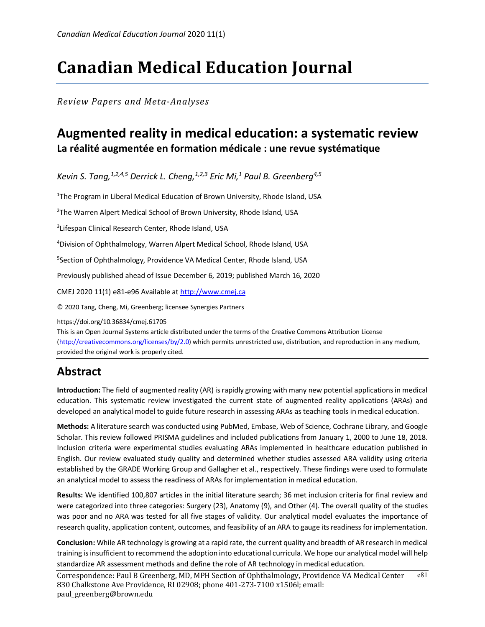# **Canadian Medical Education Journal**

*Review Papers and Meta-Analyses*

## **Augmented reality in medical education: a systematic review La réalité augmentée en formation médicale : une revue systématique**

*Kevin S. Tang,1,2,4,5 Derrick L. Cheng,1,2,3 Eric Mi,1 Paul B. Greenberg4,5*

<sup>1</sup>The Program in Liberal Medical Education of Brown University, Rhode Island, USA

<sup>2</sup>The Warren Alpert Medical School of Brown University, Rhode Island, USA

<sup>3</sup>Lifespan Clinical Research Center, Rhode Island, USA

4 Division of Ophthalmology, Warren Alpert Medical School, Rhode Island, USA

5 Section of Ophthalmology, Providence VA Medical Center, Rhode Island, USA

Previously published ahead of Issue December 6, 2019; published March 16, 2020

CMEJ 2020 11(1) e81-e96 Available at http://www.cmej.ca

© 2020 Tang, Cheng, Mi, Greenberg; licensee Synergies Partners

https://doi.org/10.36834/cmej.61705

This is an Open Journal Systems article distributed under the terms of the Creative Commons Attribution License (http://creativecommons.org/licenses/by/2.0) which permits unrestricted use, distribution, and reproduction in any medium, provided the original work is properly cited.

## **Abstract**

**Introduction:** The field of augmented reality (AR) is rapidly growing with many new potential applications in medical education. This systematic review investigated the current state of augmented reality applications (ARAs) and developed an analytical model to guide future research in assessing ARAs as teaching tools in medical education.

**Methods:** A literature search was conducted using PubMed, Embase, Web of Science, Cochrane Library, and Google Scholar. This review followed PRISMA guidelines and included publications from January 1, 2000 to June 18, 2018. Inclusion criteria were experimental studies evaluating ARAs implemented in healthcare education published in English. Our review evaluated study quality and determined whether studies assessed ARA validity using criteria established by the GRADE Working Group and Gallagher et al., respectively. These findings were used to formulate an analytical model to assess the readiness of ARAs for implementation in medical education.

**Results:** We identified 100,807 articles in the initial literature search; 36 met inclusion criteria for final review and were categorized into three categories: Surgery (23), Anatomy (9), and Other (4). The overall quality of the studies was poor and no ARA was tested for all five stages of validity. Our analytical model evaluates the importance of research quality, application content, outcomes, and feasibility of an ARA to gauge its readiness for implementation.

**Conclusion:** While AR technology is growing at a rapid rate, the current quality and breadth of AR research in medical training is insufficient to recommend the adoption into educational curricula. We hope our analytical model will help standardize AR assessment methods and define the role of AR technology in medical education.

Correspondence: Paul B Greenberg, MD, MPH Section of Ophthalmology, Providence VA Medical Center 830 Chalkstone Ave Providence, RI 02908; phone  $401-273-7100 \times 1506$  ; email: paul\_greenberg@brown.edu e81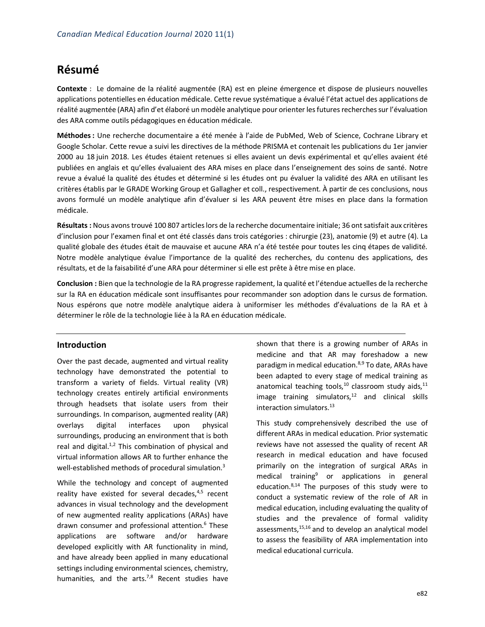## **Résumé**

**Contexte** : Le domaine de la réalité augmentée (RA) est en pleine émergence et dispose de plusieurs nouvelles applications potentielles en éducation médicale. Cette revue systématique a évalué l'état actuel des applications de réalité augmentée (ARA) afin d'et élaboré un modèle analytique pour orienter les futures recherches sur l'évaluation des ARA comme outils pédagogiques en éducation médicale.

**Méthodes:** Une recherche documentaire a été menée à l'aide de PubMed, Web of Science, Cochrane Library et Google Scholar. Cette revue a suivi les directives de la méthode PRISMA et contenait les publications du 1er janvier 2000 au 18 juin 2018. Les études étaient retenues si elles avaient un devis expérimental et qu'elles avaient été publiées en anglais et qu'elles évaluaient des ARA mises en place dans l'enseignement des soins de santé. Notre revue a évalué la qualité des études et déterminé si les études ont pu évaluer la validité des ARA en utilisant les critères établis par le GRADE Working Group et Gallagher et coll., respectivement. À partir de ces conclusions, nous avons formulé un modèle analytique afin d'évaluer si les ARA peuvent être mises en place dans la formation médicale.

**Résultats :** Nous avons trouvé 100 807 articles lors de la recherche documentaire initiale; 36 ont satisfait aux critères d'inclusion pour l'examen final et ont été classés dans trois catégories : chirurgie (23), anatomie (9) et autre (4). La qualité globale des études était de mauvaise et aucune ARA n'a été testée pour toutes les cinq étapes de validité. Notre modèle analytique évalue l'importance de la qualité des recherches, du contenu des applications, des résultats, et de la faisabilité d'une ARA pour déterminer si elle est prête à être mise en place.

**Conclusion :** Bien que la technologie de la RA progresse rapidement, la qualité et l'étendue actuelles de la recherche sur la RA en éducation médicale sont insuffisantes pour recommander son adoption dans le cursus de formation. Nous espérons que notre modèle analytique aidera à uniformiser les méthodes d'évaluations de la RA et à déterminer le rôle de la technologie liée à la RA en éducation médicale.

### **Introduction**

Over the past decade, augmented and virtual reality technology have demonstrated the potential to transform a variety of fields. Virtual reality (VR) technology creates entirely artificial environments through headsets that isolate users from their surroundings. In comparison, augmented reality (AR) overlays digital interfaces upon physical surroundings, producing an environment that is both real and digital. $1,2$  This combination of physical and virtual information allows AR to further enhance the well-established methods of procedural simulation.<sup>3</sup>

While the technology and concept of augmented reality have existed for several decades, $4,5$  recent advances in visual technology and the development of new augmented reality applications (ARAs) have drawn consumer and professional attention.<sup>6</sup> These applications are software and/or hardware developed explicitly with AR functionality in mind, and have already been applied in many educational settings including environmental sciences, chemistry, humanities, and the arts.<sup>7,8</sup> Recent studies have

shown that there is a growing number of ARAs in medicine and that AR may foreshadow a new paradigm in medical education.<sup>8,9</sup> To date, ARAs have been adapted to every stage of medical training as anatomical teaching tools, $^{10}$  classroom study aids, $^{11}$ image training simulators, $12$  and clinical skills interaction simulators.<sup>13</sup>

This study comprehensively described the use of different ARAs in medical education. Prior systematic reviews have not assessed the quality of recent AR research in medical education and have focused primarily on the integration of surgical ARAs in medical training $9$  or applications in general education.<sup>8,14</sup> The purposes of this study were to conduct a systematic review of the role of AR in medical education, including evaluating the quality of studies and the prevalence of formal validity assessments, $15,16$  and to develop an analytical model to assess the feasibility of ARA implementation into medical educational curricula.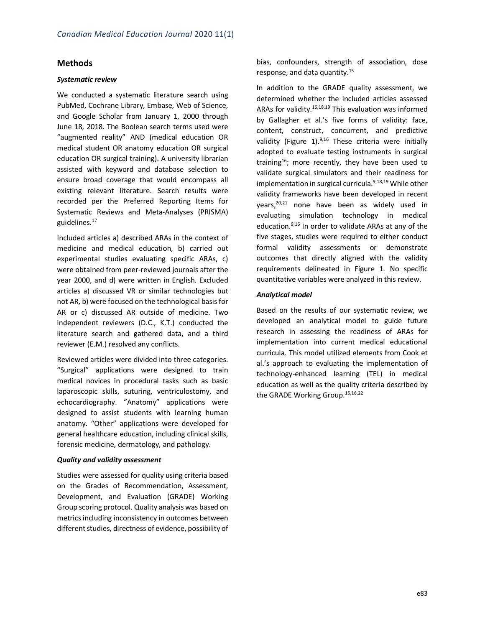### **Methods**

### *Systematic review*

We conducted a systematic literature search using PubMed, Cochrane Library, Embase, Web of Science, and Google Scholar from January 1, 2000 through June 18, 2018. The Boolean search terms used were "augmented reality" AND (medical education OR medical student OR anatomy education OR surgical education OR surgical training). A university librarian assisted with keyword and database selection to ensure broad coverage that would encompass all existing relevant literature. Search results were recorded per the Preferred Reporting Items for Systematic Reviews and Meta-Analyses (PRISMA) guidelines.17

Included articles a) described ARAs in the context of medicine and medical education, b) carried out experimental studies evaluating specific ARAs, c) were obtained from peer-reviewed journals after the year 2000, and d) were written in English. Excluded articles a) discussed VR or similar technologies but not AR, b) were focused on the technological basis for AR or c) discussed AR outside of medicine. Two independent reviewers (D.C., K.T.) conducted the literature search and gathered data, and a third reviewer (E.M.) resolved any conflicts.

Reviewed articles were divided into three categories. "Surgical" applications were designed to train medical novices in procedural tasks such as basic laparoscopic skills, suturing, ventriculostomy, and echocardiography. "Anatomy" applications were designed to assist students with learning human anatomy. "Other" applications were developed for general healthcare education, including clinical skills, forensic medicine, dermatology, and pathology.

### *Quality and validity assessment*

Studies were assessed for quality using criteria based on the Grades of Recommendation, Assessment, Development, and Evaluation (GRADE) Working Group scoring protocol. Quality analysis was based on metrics including inconsistency in outcomes between different studies, directness of evidence, possibility of

bias, confounders, strength of association, dose response, and data quantity.15

In addition to the GRADE quality assessment, we determined whether the included articles assessed ARAs for validity.<sup>16,18,19</sup> This evaluation was informed by Gallagher et al.'s five forms of validity: face, content, construct, concurrent, and predictive validity (Figure 1). $9,16$  These criteria were initially adopted to evaluate testing instruments in surgical training<sup>16</sup>; more recently, they have been used to validate surgical simulators and their readiness for implementation in surgical curricula.<sup>9,18,19</sup> While other validity frameworks have been developed in recent years,<sup>20,21</sup> none have been as widely used in evaluating simulation technology in medical education.<sup>9,16</sup> In order to validate ARAs at any of the five stages, studies were required to either conduct formal validity assessments or demonstrate outcomes that directly aligned with the validity requirements delineated in Figure 1. No specific quantitative variables were analyzed in this review.

### *Analytical model*

Based on the results of our systematic review, we developed an analytical model to guide future research in assessing the readiness of ARAs for implementation into current medical educational curricula. This model utilized elements from Cook et al.'s approach to evaluating the implementation of technology-enhanced learning (TEL) in medical education as well as the quality criteria described by the GRADE Working Group.<sup>15,16,22</sup>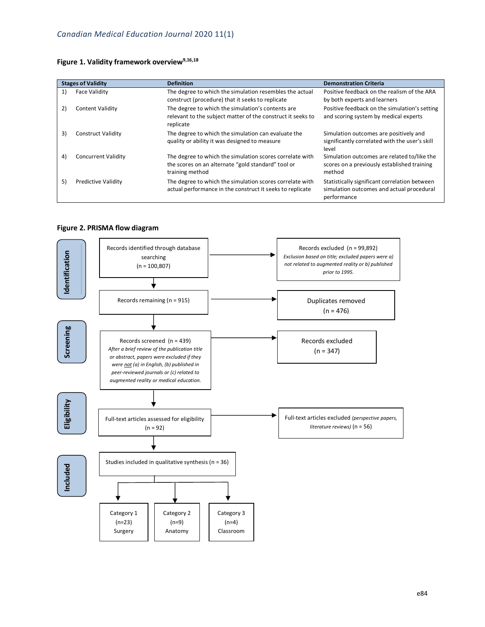### Figure 1. Validity framework overview<sup>9,16,18</sup>

| <b>Stages of Validity</b> |                            | <b>Definition</b>                                                                                                                 | <b>Demonstration Criteria</b>                                                                             |  |  |  |
|---------------------------|----------------------------|-----------------------------------------------------------------------------------------------------------------------------------|-----------------------------------------------------------------------------------------------------------|--|--|--|
| 1)                        | <b>Face Validity</b>       | The degree to which the simulation resembles the actual<br>construct (procedure) that it seeks to replicate                       | Positive feedback on the realism of the ARA<br>by both experts and learners                               |  |  |  |
| 2)                        | <b>Content Validity</b>    | The degree to which the simulation's contents are<br>relevant to the subject matter of the construct it seeks to<br>replicate     | Positive feedback on the simulation's setting<br>and scoring system by medical experts                    |  |  |  |
| 3)                        | <b>Construct Validity</b>  | The degree to which the simulation can evaluate the<br>quality or ability it was designed to measure                              | Simulation outcomes are positively and<br>significantly correlated with the user's skill<br>level         |  |  |  |
| 4)                        | <b>Concurrent Validity</b> | The degree to which the simulation scores correlate with<br>the scores on an alternate "gold standard" tool or<br>training method | Simulation outcomes are related to/like the<br>scores on a previously established training<br>method      |  |  |  |
| 5)                        | <b>Predictive Validity</b> | The degree to which the simulation scores correlate with<br>actual performance in the construct it seeks to replicate             | Statistically significant correlation between<br>simulation outcomes and actual procedural<br>performance |  |  |  |

### **Figure 2. PRISMA flow diagram**

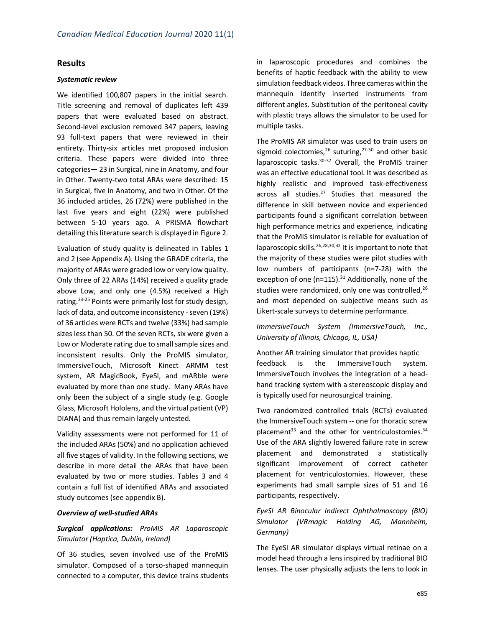### **Results**

### *Systematic review*

We identified 100,807 papers in the initial search. Title screening and removal of duplicates left 439 papers that were evaluated based on abstract. Second-level exclusion removed 347 papers, leaving 93 full-text papers that were reviewed in their entirety. Thirty-six articles met proposed inclusion criteria. These papers were divided into three categories— 23 in Surgical, nine in Anatomy, and four in Other. Twenty-two total ARAs were described: 15 in Surgical, five in Anatomy, and two in Other. Of the 36 included articles, 26 (72%) were published in the last five years and eight (22%) were published between 5-10 years ago. A PRISMA flowchart detailing this literature search is displayed in Figure 2.

Evaluation of study quality is delineated in Tables 1 and 2 (see Appendix A). Using the GRADE criteria, the majority of ARAs were graded low or very low quality. Only three of 22 ARAs (14%) received a quality grade above Low, and only one (4.5%) received a High rating.23-25 Points were primarily lost for study design, lack of data, and outcome inconsistency - seven (19%) of 36 articles were RCTs and twelve (33%) had sample sizes less than 50. Of the seven RCTs, six were given a Low or Moderate rating due to small sample sizes and inconsistent results. Only the ProMIS simulator, ImmersiveTouch, Microsoft Kinect ARMM test system, AR MagicBook, EyeSI, and mARble were evaluated by more than one study. Many ARAs have only been the subject of a single study (e.g. Google Glass, Microsoft Hololens, and the virtual patient (VP) DIANA) and thus remain largely untested.

Validity assessments were not performed for 11 of the included ARAs (50%) and no application achieved all five stages of validity. In the following sections, we describe in more detail the ARAs that have been evaluated by two or more studies. Tables 3 and 4 contain a full list of identified ARAs and associated study outcomes (see appendix B).

### *Overview of well-studied ARAs*

### *Surgical applications: ProMIS AR Laparoscopic Simulator (Haptica, Dublin, Ireland)*

Of 36 studies, seven involved use of the ProMIS simulator. Composed of a torso-shaped mannequin connected to a computer, this device trains students

in laparoscopic procedures and combines the benefits of haptic feedback with the ability to view simulation feedback videos. Three cameras within the mannequin identify inserted instruments from different angles. Substitution of the peritoneal cavity with plastic trays allows the simulator to be used for multiple tasks.

The ProMIS AR simulator was used to train users on sigmoid colectomies,<sup>26</sup> suturing,<sup>27-30</sup> and other basic laparoscopic tasks.30-32 Overall, the ProMIS trainer was an effective educational tool. It was described as highly realistic and improved task-effectiveness across all studies.<sup>27</sup> Studies that measured the difference in skill between novice and experienced participants found a significant correlation between high performance metrics and experience, indicating that the ProMIS simulator is reliable for evaluation of laparoscopic skills.<sup>26,28,30,32</sup> It is important to note that the majority of these studies were pilot studies with low numbers of participants (n=7-28) with the exception of one ( $n=115$ ).<sup>31</sup> Additionally, none of the studies were randomized, only one was controlled,  $26$ and most depended on subjective means such as Likert-scale surveys to determine performance.

### *ImmersiveTouch System (ImmersiveTouch, Inc., University of Illinois, Chicago, IL, USA)*

Another AR training simulator that provides haptic feedback is the ImmersiveTouch system. ImmersiveTouch involves the integration of a headhand tracking system with a stereoscopic display and is typically used for neurosurgical training.

Two randomized controlled trials (RCTs) evaluated the ImmersiveTouch system -- one for thoracic screw placement<sup>33</sup> and the other for ventriculostomies. $34$ Use of the ARA slightly lowered failure rate in screw placement and demonstrated a statistically significant improvement of correct catheter placement for ventriculostomies. However, these experiments had small sample sizes of 51 and 16 participants, respectively.

*EyeSI AR Binocular Indirect Ophthalmoscopy (BIO) Simulator (VRmagic Holding AG, Mannheim, Germany)*

The EyeSI AR simulator displays virtual retinae on a model head through a lens inspired by traditional BIO lenses. The user physically adjusts the lens to look in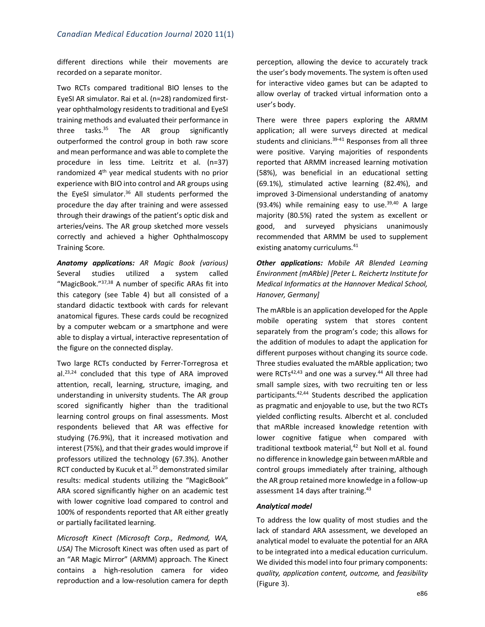different directions while their movements are recorded on a separate monitor.

Two RCTs compared traditional BIO lenses to the EyeSI AR simulator. Rai et al. (n=28) randomized firstyear ophthalmology residents to traditional and EyeSI training methods and evaluated their performance in three tasks. $35$  The AR group significantly outperformed the control group in both raw score and mean performance and was able to complete the procedure in less time. Leitritz et al. (n=37) randomized 4th year medical students with no prior experience with BIO into control and AR groups using the EyeSI simulator. $36$  All students performed the procedure the day after training and were assessed through their drawings of the patient's optic disk and arteries/veins. The AR group sketched more vessels correctly and achieved a higher Ophthalmoscopy Training Score.

*Anatomy applications: AR Magic Book (various)* Several studies utilized a system called "MagicBook."37,38 A number of specific ARAs fit into this category (see Table 4) but all consisted of a standard didactic textbook with cards for relevant anatomical figures. These cards could be recognized by a computer webcam or a smartphone and were able to display a virtual, interactive representation of the figure on the connected display.

Two large RCTs conducted by Ferrer-Torregrosa et al.23,24 concluded that this type of ARA improved attention, recall, learning, structure, imaging, and understanding in university students. The AR group scored significantly higher than the traditional learning control groups on final assessments. Most respondents believed that AR was effective for studying (76.9%), that it increased motivation and interest (75%), and that their grades would improve if professors utilized the technology (67.3%). Another RCT conducted by Kucuk et al.<sup>25</sup> demonstrated similar results: medical students utilizing the "MagicBook" ARA scored significantly higher on an academic test with lower cognitive load compared to control and 100% of respondents reported that AR either greatly or partially facilitated learning.

*Microsoft Kinect (Microsoft Corp., Redmond, WA, USA)* The Microsoft Kinect was often used as part of an "AR Magic Mirror" (ARMM) approach. The Kinect contains a high-resolution camera for video reproduction and a low-resolution camera for depth

perception, allowing the device to accurately track the user's body movements. The system is often used for interactive video games but can be adapted to allow overlay of tracked virtual information onto a user's body.

There were three papers exploring the ARMM application; all were surveys directed at medical students and clinicians.<sup>39-41</sup> Responses from all three were positive. Varying majorities of respondents reported that ARMM increased learning motivation (58%), was beneficial in an educational setting (69.1%), stimulated active learning (82.4%), and improved 3-Dimensional understanding of anatomy (93.4%) while remaining easy to use. $39,40$  A large majority (80.5%) rated the system as excellent or good, and surveyed physicians unanimously recommended that ARMM be used to supplement existing anatomy curriculums.<sup>41</sup>

*Other applications: Mobile AR Blended Learning Environment (mARble) [Peter L. Reichertz Institute for Medical Informatics at the Hannover Medical School, Hanover, Germany]*

The mARble is an application developed for the Apple mobile operating system that stores content separately from the program's code; this allows for the addition of modules to adapt the application for different purposes without changing its source code. Three studies evaluated the mARble application; two were RCTs $42,43$  and one was a survey. $44$  All three had small sample sizes, with two recruiting ten or less participants.42,44 Students described the application as pragmatic and enjoyable to use, but the two RCTs yielded conflicting results. Albercht et al. concluded that mARble increased knowledge retention with lower cognitive fatigue when compared with traditional textbook material, <sup>42</sup> but Noll et al. found no difference in knowledge gain between mARble and control groups immediately after training, although the AR group retained more knowledge in a follow-up assessment 14 days after training.<sup>43</sup>

### *Analytical model*

To address the low quality of most studies and the lack of standard ARA assessment, we developed an analytical model to evaluate the potential for an ARA to be integrated into a medical education curriculum. We divided this model into four primary components: *quality, application content, outcome,* and *feasibility*  (Figure 3).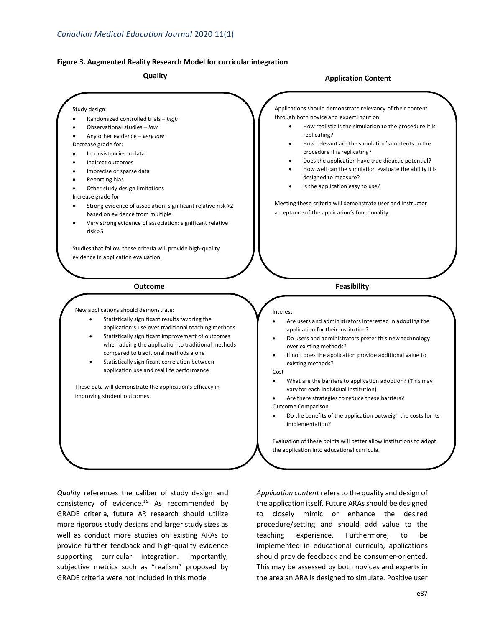• Randomized controlled trials – *high* • Observational studies – *low* • Any other evidence – *very low*

Study design:

Decrease grade for:

Increase grade for:

risk >5

• Inconsistencies in data • Indirect outcomes • Imprecise or sparse data • Reporting bias

Other study design limitations

based on evidence from multiple

evidence in application evaluation.

New applications should demonstrate:

improving student outcomes.

### **Figure 3. Augmented Reality Research Model for curricular integration**

• Strong evidence of association: significant relative risk >2

• Very strong evidence of association: significant relative

Statistically significant results favoring the application's use over traditional teaching methods Statistically significant improvement of outcomes when adding the application to traditional methods

compared to traditional methods alone Statistically significant correlation between application use and real life performance

These data will demonstrate the application's efficacy in

Studies that follow these criteria will provide high-quality

### **Quality Application Content**

Applications should demonstrate relevancy of their content through both novice and expert input on:

- How realistic is the simulation to the procedure it is replicating?
- How relevant are the simulation's contents to the procedure it is replicating?
- Does the application have true didactic potential?
- How well can the simulation evaluate the ability it is designed to measure?
- Is the application easy to use?

Meeting these criteria will demonstrate user and instructor acceptance of the application's functionality.

### **Outcome Feasibility**

### Interest

- Are users and administrators interested in adopting the application for their institution?
- Do users and administrators prefer this new technology over existing methods?
- If not, does the application provide additional value to existing methods?

### Cost

- What are the barriers to application adoption? (This may vary for each individual institution)
- Are there strategies to reduce these barriers? Outcome Comparison
- Do the benefits of the application outweigh the costs for its implementation?

Evaluation of these points will better allow institutions to adopt the application into educational curricula.

*Quality* references the caliber of study design and consistency of evidence.15 As recommended by GRADE criteria, future AR research should utilize more rigorous study designs and larger study sizes as well as conduct more studies on existing ARAs to provide further feedback and high-quality evidence supporting curricular integration. Importantly, subjective metrics such as "realism" proposed by GRADE criteria were not included in this model.

*Application content* refers to the quality and design of the application itself. Future ARAs should be designed to closely mimic or enhance the desired procedure/setting and should add value to the teaching experience. Furthermore, to be implemented in educational curricula, applications should provide feedback and be consumer-oriented. This may be assessed by both novices and experts in the area an ARA is designed to simulate. Positive user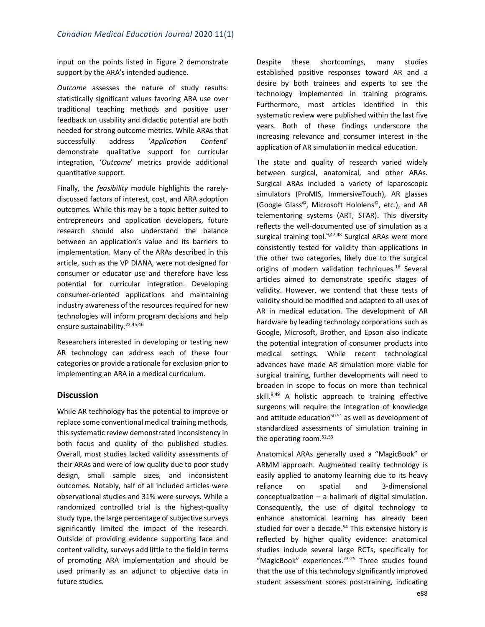input on the points listed in Figure 2 demonstrate support by the ARA's intended audience.

*Outcome* assesses the nature of study results: statistically significant values favoring ARA use over traditional teaching methods and positive user feedback on usability and didactic potential are both needed for strong outcome metrics. While ARAs that successfully address '*Application Content*' demonstrate qualitative support for curricular integration, '*Outcome*' metrics provide additional quantitative support.

Finally, the *feasibility* module highlights the rarelydiscussed factors of interest, cost, and ARA adoption outcomes. While this may be a topic better suited to entrepreneurs and application developers, future research should also understand the balance between an application's value and its barriers to implementation. Many of the ARAs described in this article, such as the VP DIANA, were not designed for consumer or educator use and therefore have less potential for curricular integration. Developing consumer-oriented applications and maintaining industry awareness of the resources required for new technologies will inform program decisions and help ensure sustainability.<sup>22,45,46</sup>

Researchers interested in developing or testing new AR technology can address each of these four categories or provide a rationale for exclusion prior to implementing an ARA in a medical curriculum.

### **Discussion**

While AR technology has the potential to improve or replace some conventional medical training methods, this systematic review demonstrated inconsistency in both focus and quality of the published studies. Overall, most studies lacked validity assessments of their ARAs and were of low quality due to poor study design, small sample sizes, and inconsistent outcomes. Notably, half of all included articles were observational studies and 31% were surveys. While a randomized controlled trial is the highest-quality study type, the large percentage of subjective surveys significantly limited the impact of the research. Outside of providing evidence supporting face and content validity, surveys add little to the field in terms of promoting ARA implementation and should be used primarily as an adjunct to objective data in future studies.

Despite these shortcomings, many studies established positive responses toward AR and a desire by both trainees and experts to see the technology implemented in training programs. Furthermore, most articles identified in this systematic review were published within the last five years. Both of these findings underscore the increasing relevance and consumer interest in the application of AR simulation in medical education.

The state and quality of research varied widely between surgical, anatomical, and other ARAs. Surgical ARAs included a variety of laparoscopic simulators (ProMIS, ImmersiveTouch), AR glasses (Google Glass©, Microsoft Hololens©, etc.), and AR telementoring systems (ART, STAR). This diversity reflects the well-documented use of simulation as a surgical training tool. $9,47,48$  Surgical ARAs were more consistently tested for validity than applications in the other two categories, likely due to the surgical origins of modern validation techniques.<sup>16</sup> Several articles aimed to demonstrate specific stages of validity. However, we contend that these tests of validity should be modified and adapted to all uses of AR in medical education. The development of AR hardware by leading technology corporations such as Google, Microsoft, Brother, and Epson also indicate the potential integration of consumer products into medical settings. While recent technological advances have made AR simulation more viable for surgical training, further developments will need to broaden in scope to focus on more than technical skill.<sup>9,49</sup> A holistic approach to training effective surgeons will require the integration of knowledge and attitude education $50,51$  as well as development of standardized assessments of simulation training in the operating room.<sup>52,53</sup>

Anatomical ARAs generally used a "MagicBook" or ARMM approach. Augmented reality technology is easily applied to anatomy learning due to its heavy reliance on spatial and 3-dimensional conceptualization – a hallmark of digital simulation. Consequently, the use of digital technology to enhance anatomical learning has already been studied for over a decade.<sup>54</sup> This extensive history is reflected by higher quality evidence: anatomical studies include several large RCTs, specifically for "MagicBook" experiences.<sup>23-25</sup> Three studies found that the use of this technology significantly improved student assessment scores post-training, indicating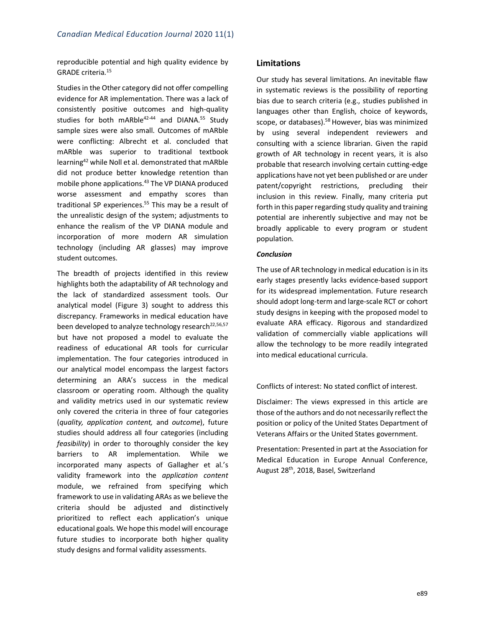reproducible potential and high quality evidence by GRADE criteria.15

Studies in the Other category did not offer compelling evidence for AR implementation. There was a lack of consistently positive outcomes and high-quality studies for both mARble<sup>42-44</sup> and DIANA.<sup>55</sup> Study sample sizes were also small. Outcomes of mARble were conflicting: Albrecht et al. concluded that mARble was superior to traditional textbook learning42 while Noll et al. demonstrated that mARble did not produce better knowledge retention than mobile phone applications.<sup>43</sup> The VP DIANA produced worse assessment and empathy scores than traditional SP experiences.<sup>55</sup> This may be a result of the unrealistic design of the system; adjustments to enhance the realism of the VP DIANA module and incorporation of more modern AR simulation technology (including AR glasses) may improve student outcomes.

The breadth of projects identified in this review highlights both the adaptability of AR technology and the lack of standardized assessment tools. Our analytical model (Figure 3) sought to address this discrepancy. Frameworks in medical education have been developed to analyze technology research<sup>22,56,57</sup> but have not proposed a model to evaluate the readiness of educational AR tools for curricular implementation. The four categories introduced in our analytical model encompass the largest factors determining an ARA's success in the medical classroom or operating room. Although the quality and validity metrics used in our systematic review only covered the criteria in three of four categories (*quality, application content,* and *outcome*), future studies should address all four categories (including *feasibility*) in order to thoroughly consider the key barriers to AR implementation. While we incorporated many aspects of Gallagher et al.'s validity framework into the *application content*  module, we refrained from specifying which framework to use in validating ARAs as we believe the criteria should be adjusted and distinctively prioritized to reflect each application's unique educational goals. We hope this model will encourage future studies to incorporate both higher quality study designs and formal validity assessments.

### **Limitations**

Our study has several limitations. An inevitable flaw in systematic reviews is the possibility of reporting bias due to search criteria (e.g., studies published in languages other than English, choice of keywords, scope, or databases).<sup>58</sup> However, bias was minimized by using several independent reviewers and consulting with a science librarian. Given the rapid growth of AR technology in recent years, it is also probable that research involving certain cutting-edge applications have not yet been published or are under patent/copyright restrictions, precluding their inclusion in this review. Finally, many criteria put forth in this paper regarding study quality and training potential are inherently subjective and may not be broadly applicable to every program or student population.

### *Conclusion*

The use of AR technology in medical education is in its early stages presently lacks evidence-based support for its widespread implementation. Future research should adopt long-term and large-scale RCT or cohort study designs in keeping with the proposed model to evaluate ARA efficacy. Rigorous and standardized validation of commercially viable applications will allow the technology to be more readily integrated into medical educational curricula.

Conflicts of interest: No stated conflict of interest.

Disclaimer: The views expressed in this article are those of the authors and do not necessarily reflect the position or policy of the United States Department of Veterans Affairs or the United States government.

Presentation: Presented in part at the Association for Medical Education in Europe Annual Conference, August 28<sup>th</sup>, 2018, Basel, Switzerland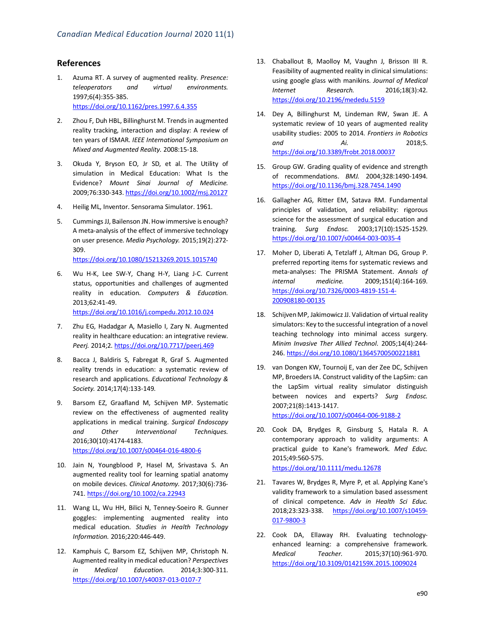### **References**

- 1. Azuma RT. A survey of augmented reality. *Presence: teleoperators and virtual environments.*  1997;6(4):355-385. https://doi.org/10.1162/pres.1997.6.4.355
- 2. Zhou F, Duh HBL, Billinghurst M. Trends in augmented reality tracking, interaction and display: A review of ten years of ISMAR. *IEEE International Symposium on Mixed and Augmented Reality.* 2008:15-18.
- 3. Okuda Y, Bryson EO, Jr SD, et al. The Utility of simulation in Medical Education: What Is the Evidence? *Mount Sinai Journal of Medicine.*  2009;76:330-343. https://doi.org/10.1002/msj.20127
- 4. Heilig ML, Inventor. Sensorama Simulator. 1961.
- 5. Cummings JJ, Bailenson JN. How immersive is enough? A meta-analysis of the effect of immersive technology on user presence. *Media Psychology.* 2015;19(2):272- 309.

https://doi.org/10.1080/15213269.2015.1015740

- 6. Wu H-K, Lee SW-Y, Chang H-Y, Liang J-C. Current status, opportunities and challenges of augmented reality in education. *Computers & Education.*  2013;62:41-49. https://doi.org/10.1016/j.compedu.2012.10.024
- 7. Zhu EG, Hadadgar A, Masiello I, Zary N. Augmented reality in healthcare education: an integrative review. *Peerj.* 2014;2. https://doi.org/10.7717/peerj.469
- 8. Bacca J, Baldiris S, Fabregat R, Graf S. Augmented reality trends in education: a systematic review of research and applications. *Educational Technology & Society.* 2014;17(4):133-149.
- 9. Barsom EZ, Graafland M, Schijven MP. Systematic review on the effectiveness of augmented reality applications in medical training. *Surgical Endoscopy and Other Interventional Techniques.*  2016;30(10):4174-4183. https://doi.org/10.1007/s00464-016-4800-6
- 10. Jain N, Youngblood P, Hasel M, Srivastava S. An augmented reality tool for learning spatial anatomy on mobile devices. *Clinical Anatomy.* 2017;30(6):736- 741. https://doi.org/10.1002/ca.22943
- 11. Wang LL, Wu HH, Bilici N, Tenney-Soeiro R. Gunner goggles: implementing augmented reality into medical education. *Studies in Health Technology Information.* 2016;220:446-449.
- 12. Kamphuis C, Barsom EZ, Schijven MP, Christoph N. Augmented reality in medical education? *Perspectives in Medical Education.* 2014;3:300-311. https://doi.org/10.1007/s40037-013-0107-7
- 13. Chaballout B, Maolloy M, Vaughn J, Brisson III R. Feasibility of augmented reality in clinical simulations: using google glass with manikins. *Journal of Medical Internet Research.* 2016;18(3):42. https://doi.org/10.2196/mededu.5159
- 14. Dey A, Billinghurst M, Lindeman RW, Swan JE. A systematic review of 10 years of augmented reality usability studies: 2005 to 2014. *Frontiers in Robotics and Ai.* 2018;5. https://doi.org/10.3389/frobt.2018.00037
- 15. Group GW. Grading quality of evidence and strength of recommendations. *BMJ.* 2004;328:1490-1494. https://doi.org/10.1136/bmj.328.7454.1490
- 16. Gallagher AG, Ritter EM, Satava RM. Fundamental principles of validation, and reliability: rigorous science for the assessment of surgical education and training. *Surg Endosc.* 2003;17(10):1525-1529. https://doi.org/10.1007/s00464-003-0035-4
- 17. Moher D, Liberati A, Tetzlaff J, Altman DG, Group P. preferred reporting items for systematic reviews and meta-analyses: The PRISMA Statement. *Annals of internal medicine.* 2009;151(4):164-169. https://doi.org/10.7326/0003-4819-151-4- 200908180-00135
- 18. Schijven MP, Jakimowicz JJ. Validation of virtual reality simulators: Key to the successful integration of a novel teaching technology into minimal access surgery. *Minim Invasive Ther Allied Technol.* 2005;14(4):244- 246. https://doi.org/10.1080/13645700500221881
- 19. van Dongen KW, Tournoij E, van der Zee DC, Schijven MP, Broeders IA. Construct validity of the LapSim: can the LapSim virtual reality simulator distinguish between novices and experts? *Surg Endosc.*  2007;21(8):1413-1417. https://doi.org/10.1007/s00464-006-9188-2
- 20. Cook DA, Brydges R, Ginsburg S, Hatala R. A contemporary approach to validity arguments: A practical guide to Kane's framework. *Med Educ.*  2015;49:560-575. https://doi.org/10.1111/medu.12678
- 21. Tavares W, Brydges R, Myre P, et al. Applying Kane's validity framework to a simulation based assessment of clinical competence. *Adv in Health Sci Educ.*  2018;23:323-338. https://doi.org/10.1007/s10459- 017-9800-3
- 22. Cook DA, Ellaway RH. Evaluating technologyenhanced learning: a comprehensive framework. *Medical Teacher.* 2015;37(10):961-970. https://doi.org/10.3109/0142159X.2015.1009024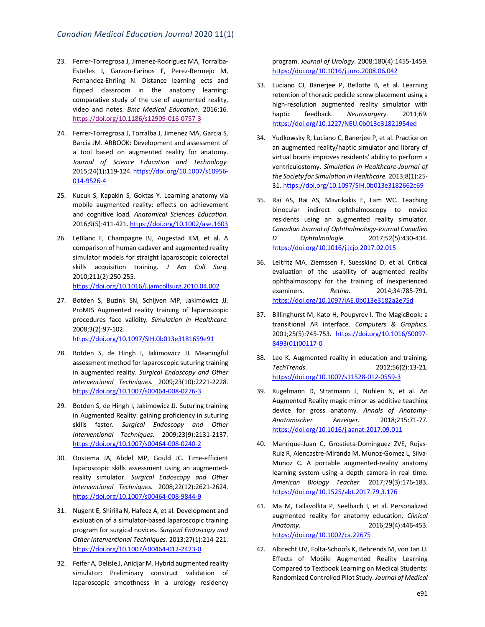- 23. Ferrer-Torregrosa J, Jimenez-Rodriguez MA, Torralba-Estelles J, Garzon-Farinos F, Perez-Bermejo M, Fernandez-Ehrling N. Distance learning ects and flipped classroom in the anatomy learning: comparative study of the use of augmented reality, video and notes. *Bmc Medical Education.* 2016;16. https://doi.org/10.1186/s12909-016-0757-3
- 24. Ferrer-Torregrosa J, Torralba J, Jimenez MA, Garcia S, Barcia JM. ARBOOK: Development and assessment of a tool based on augmented reality for anatomy. *Journal of Science Education and Technology.*  2015;24(1):119-124. https://doi.org/10.1007/s10956- 014-9526-4
- 25. Kucuk S, Kapakin S, Goktas Y. Learning anatomy via mobile augmented reality: effects on achievement and cognitive load. *Anatomical Sciences Education.* 2016;9(5):411-421. https://doi.org/10.1002/ase.1603
- 26. LeBlanc F, Champagne BJ, Augestad KM, et al. A comparison of human cadaver and augmented reality simulator models for straight laparoscopic colorectal skills acquisition training. *J Am Coll Surg.*  2010;211(2):250-255. https://doi.org/10.1016/j.jamcollsurg.2010.04.002
- 27. Botden S, Buzink SN, Schijven MP, Jakimowicz JJ. ProMIS Augmented reality training of laparoscopic procedures face validity. *Simulation in Healthcare.*  2008;3(2):97-102. https://doi.org/10.1097/SIH.0b013e3181659e91
- 28. Botden S, de Hingh I, Jakimowicz JJ. Meaningful assessment method for laparoscopic suturing training in augmented reality. *Surgical Endoscopy and Other Interventional Techniques.* 2009;23(10):2221-2228. https://doi.org/10.1007/s00464-008-0276-3
- 29. Botden S, de Hingh I, Jakimowicz JJ. Suturing training in Augmented Reality: gaining proficiency in suturing skills faster. *Surgical Endoscopy and Other Interventional Techniques.* 2009;23(9):2131-2137. https://doi.org/10.1007/s00464-008-0240-2
- 30. Oostema JA, Abdel MP, Gould JC. Time-efficient laparoscopic skills assessment using an augmentedreality simulator. *Surgical Endoscopy and Other Interventional Techniques.* 2008;22(12):2621-2624. https://doi.org/10.1007/s00464-008-9844-9
- 31. Nugent E, Shirilla N, Hafeez A, et al. Development and evaluation of a simulator-based laparoscopic training program for surgical novices. *Surgical Endoscopy and Other Interventional Techniques.* 2013;27(1):214-221. https://doi.org/10.1007/s00464-012-2423-0
- 32. Feifer A, Delisle J, Anidjar M. Hybrid augmented reality simulator: Preliminary construct validation of laparoscopic smoothness in a urology residency

program. *Journal of Urology.* 2008;180(4):1455-1459. https://doi.org/10.1016/j.juro.2008.06.042

- 33. Luciano CJ, Banerjee P, Bellotte B, et al. Learning retention of thoracic pedicle screw placement using a high-resolution augmented reality simulator with haptic feedback. *Neurosurgery.* 2011;69. https://doi.org/10.1227/NEU.0b013e31821954ed
- 34. Yudkowsky R, Luciano C, Banerjee P, et al. Practice on an augmented reality/haptic simulator and library of virtual brains improves residents' ability to perform a ventriculostomy. *Simulation in Healthcare-Journal of the Society for Simulation in Healthcare.* 2013;8(1):25- 31. https://doi.org/10.1097/SIH.0b013e3182662c69
- 35. Rai AS, Rai AS, Mavrikakis E, Lam WC. Teaching binocular indirect ophthalmoscopy to novice residents using an augmented reality simulator. *Canadian Journal of Ophthalmology-Journal Canadien D Ophtalmologie.* 2017;52(5):430-434. https://doi.org/10.1016/j.jcjo.2017.02.015
- 36. Leitritz MA, Ziemssen F, Suesskind D, et al. Critical evaluation of the usability of augmented reality ophthalmoscopy for the training of inexperienced examiners. *Retina.* 2014;34:785-791. https://doi.org/10.1097/IAE.0b013e3182a2e75d
- 37. Billinghurst M, Kato H, Poupyrev I. The MagicBook: a transitional AR interface. *Computers & Graphics.*  2001;25(5):745-753. https://doi.org/10.1016/S0097- 8493(01)00117-0
- 38. Lee K. Augmented reality in education and training. *TechTrends.* 2012;56(2):13-21. https://doi.org/10.1007/s11528-012-0559-3
- 39. Kugelmann D, Stratmann L, Nuhlen N, et al. An Augmented Reality magic mirror as additive teaching device for gross anatomy. *Annals of Anatomy-Anatomischer Anzeiger.* 2018;215:71-77. https://doi.org/10.1016/j.aanat.2017.09.011
- 40. Manrique-Juan C, Grostieta-Dominguez ZVE, Rojas-Ruiz R, Alencastre-Miranda M, Munoz-Gomez L, Silva-Munoz C. A portable augmented-reality anatomy learning system using a depth camera in real time. *American Biology Teacher.* 2017;79(3):176-183. https://doi.org/10.1525/abt.2017.79.3.176
- 41. Ma M, Fallavollita P, Seelbach I, et al. Personalized augmented reality for anatomy education. *Clinical Anatomy.* 2016;29(4):446-453. https://doi.org/10.1002/ca.22675
- 42. Albrecht UV, Folta-Schoofs K, Behrends M, von Jan U. Effects of Mobile Augmented Reality Learning Compared to Textbook Learning on Medical Students: Randomized Controlled Pilot Study. *Journal of Medical*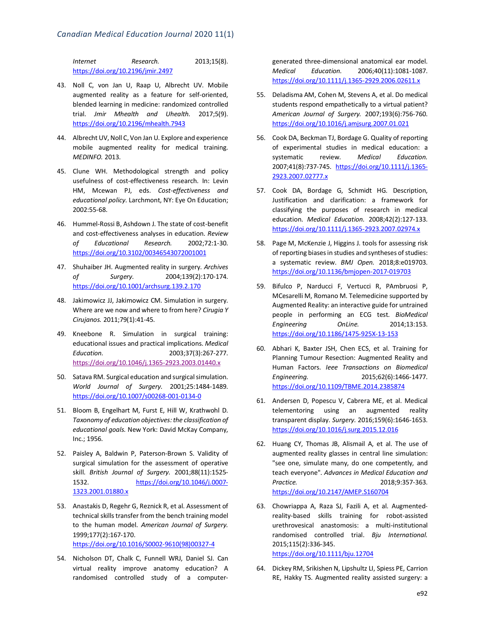*Internet Research.* 2013;15(8). https://doi.org/10.2196/jmir.2497

- 43. Noll C, von Jan U, Raap U, Albrecht UV. Mobile augmented reality as a feature for self-oriented, blended learning in medicine: randomized controlled trial. *Jmir Mhealth and Uhealth.* 2017;5(9). https://doi.org/10.2196/mhealth.7943
- 44. Albrecht UV, Noll C, Von Jan U. Explore and experience mobile augmented reality for medical training. *MEDINFO.* 2013.
- 45. Clune WH. Methodological strength and policy usefulness of cost-effectiveness research. In: Levin HM, Mcewan PJ, eds. *Cost-effectiveness and educational policy*. Larchmont, NY: Eye On Education; 2002:55-68.
- 46. Hummel-Rossi B, Ashdown J. The state of cost-benefit and cost-effectiveness analyses in education. *Review of Educational Research.* 2002;72:1-30. https://doi.org/10.3102/00346543072001001
- 47. Shuhaiber JH. Augmented reality in surgery. *Archives of Surgery.* 2004;139(2):170-174. https://doi.org/10.1001/archsurg.139.2.170
- 48. Jakimowicz JJ, Jakimowicz CM. Simulation in surgery. Where are we now and where to from here? *Cirugia Y Cirujanos.* 2011;79(1):41-45.
- 49. Kneebone R. Simulation in surgical training: educational issues and practical implications. *Medical Education.* 2003;37(3):267-277. https://doi.org/10.1046/j.1365-2923.2003.01440.x
- 50. Satava RM. Surgical education and surgical simulation. *World Journal of Surgery.* 2001;25:1484-1489. https://doi.org/10.1007/s00268-001-0134-0
- 51. Bloom B, Engelhart M, Furst E, Hill W, Krathwohl D. *Taxonomy of education objectives: the classification of educational goals.* New York: David McKay Company, Inc.; 1956.
- 52. Paisley A, Baldwin P, Paterson-Brown S. Validity of surgical simulation for the assessment of operative skill. *British Journal of Surgery.* 2001;88(11):1525- 1532. https://doi.org/10.1046/j.0007- 1323.2001.01880.x
- 53. Anastakis D, Regehr G, Reznick R, et al. Assessment of technical skills transfer from the bench training model to the human model. *American Journal of Surgery.*  1999;177(2):167-170. https://doi.org/10.1016/S0002-9610(98)00327-4
- 54. Nicholson DT, Chalk C, Funnell WRJ, Daniel SJ. Can virtual reality improve anatomy education? A randomised controlled study of a computer-

generated three-dimensional anatomical ear model. *Medical Education.* 2006;40(11):1081-1087. https://doi.org/10.1111/j.1365-2929.2006.02611.x

- 55. Deladisma AM, Cohen M, Stevens A, et al. Do medical students respond empathetically to a virtual patient? *American Journal of Surgery.* 2007;193(6):756-760. https://doi.org/10.1016/j.amjsurg.2007.01.021
- 56. Cook DA, Beckman TJ, Bordage G. Quality of reporting of experimental studies in medical education: a systematic review. *Medical Education.*  2007;41(8):737-745. https://doi.org/10.1111/j.1365- 2923.2007.02777.x
- 57. Cook DA, Bordage G, Schmidt HG. Description, Justification and clarification: a framework for classifying the purposes of research in medical education. *Medical Education.* 2008;42(2):127-133. https://doi.org/10.1111/j.1365-2923.2007.02974.x
- 58. Page M, McKenzie J, Higgins J. tools for assessing risk of reporting biases in studies and syntheses of studies: a systematic review. *BMJ Open.* 2018;8:e019703. https://doi.org/10.1136/bmjopen-2017-019703
- 59. Bifulco P, Narducci F, Vertucci R, PAmbruosi P, MCesarelli M, Romano M. Telemedicine supported by Augmented Reality: an interactive guide for untrained people in performing an ECG test. *BioMedical Engineering OnLine.* 2014;13:153. https://doi.org/10.1186/1475-925X-13-153
- 60. Abhari K, Baxter JSH, Chen ECS, et al. Training for Planning Tumour Resection: Augmented Reality and Human Factors. *Ieee Transactions on Biomedical Engineering.* 2015;62(6):1466-1477. https://doi.org/10.1109/TBME.2014.2385874
- 61. Andersen D, Popescu V, Cabrera ME, et al. Medical telementoring using an augmented reality transparent display. *Surgery.* 2016;159(6):1646-1653. https://doi.org/10.1016/j.surg.2015.12.016
- 62. Huang CY, Thomas JB, Alismail A, et al. The use of augmented reality glasses in central line simulation: "see one, simulate many, do one competently, and teach everyone". *Advances in Medical Education and Practice.* 2018;9:357-363. https://doi.org/10.2147/AMEP.S160704
- 63. Chowriappa A, Raza SJ, Fazili A, et al. Augmentedreality-based skills training for robot-assisted urethrovesical anastomosis: a multi-institutional randomised controlled trial. *Bju International.*  2015;115(2):336-345. https://doi.org/10.1111/bju.12704
- 64. Dickey RM, Srikishen N, Lipshultz LI, Spiess PE, Carrion RE, Hakky TS. Augmented reality assisted surgery: a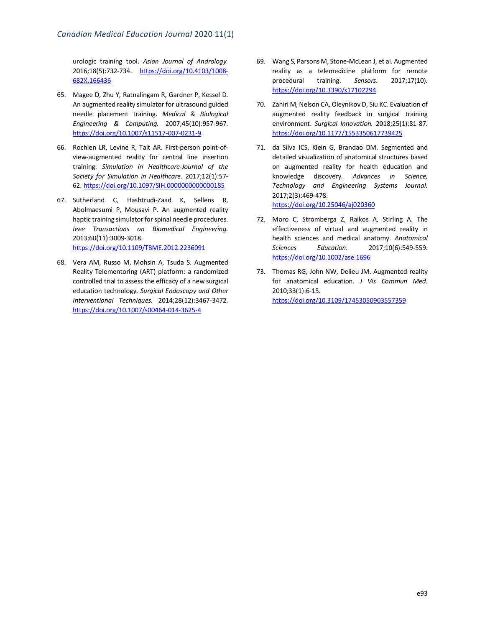urologic training tool. *Asian Journal of Andrology.*  2016;18(5):732-734. https://doi.org/10.4103/1008- 682X.166436

- 65. Magee D, Zhu Y, Ratnalingam R, Gardner P, Kessel D. An augmented reality simulator for ultrasound guided needle placement training. *Medical & Biological Engineering & Computing.* 2007;45(10):957-967. https://doi.org/10.1007/s11517-007-0231-9
- 66. Rochlen LR, Levine R, Tait AR. First-person point-ofview-augmented reality for central line insertion training. *Simulation in Healthcare-Journal of the Society for Simulation in Healthcare.* 2017;12(1):57- 62. https://doi.org/10.1097/SIH.0000000000000185
- 67. Sutherland C, Hashtrudi-Zaad K, Sellens R, Abolmaesumi P, Mousavi P. An augmented reality haptic training simulator for spinal needle procedures. *Ieee Transactions on Biomedical Engineering.*  2013;60(11):3009-3018. https://doi.org/10.1109/TBME.2012.2236091
- 68. Vera AM, Russo M, Mohsin A, Tsuda S. Augmented Reality Telementoring (ART) platform: a randomized controlled trial to assess the efficacy of a new surgical education technology. *Surgical Endoscopy and Other Interventional Techniques.* 2014;28(12):3467-3472. https://doi.org/10.1007/s00464-014-3625-4
- 69. Wang S, Parsons M, Stone-McLean J, et al. Augmented reality as a telemedicine platform for remote procedural training. *Sensors.* 2017;17(10). https://doi.org/10.3390/s17102294
- 70. Zahiri M, Nelson CA, Oleynikov D, Siu KC. Evaluation of augmented reality feedback in surgical training environment. *Surgical Innovation.* 2018;25(1):81-87. https://doi.org/10.1177/1553350617739425
- 71. da Silva ICS, Klein G, Brandao DM. Segmented and detailed visualization of anatomical structures based on augmented reality for health education and knowledge discovery. *Advances in Science, Technology and Engineering Systems Journal.*  2017;2(3):469-478. https://doi.org/10.25046/aj020360
- 72. Moro C, Stromberga Z, Raikos A, Stirling A. The effectiveness of virtual and augmented reality in health sciences and medical anatomy. *Anatomical Sciences Education.* 2017;10(6):549-559. https://doi.org/10.1002/ase.1696
- 73. Thomas RG, John NW, Delieu JM. Augmented reality for anatomical education. *J Vis Commun Med.*  2010;33(1):6-15. https://doi.org/10.3109/17453050903557359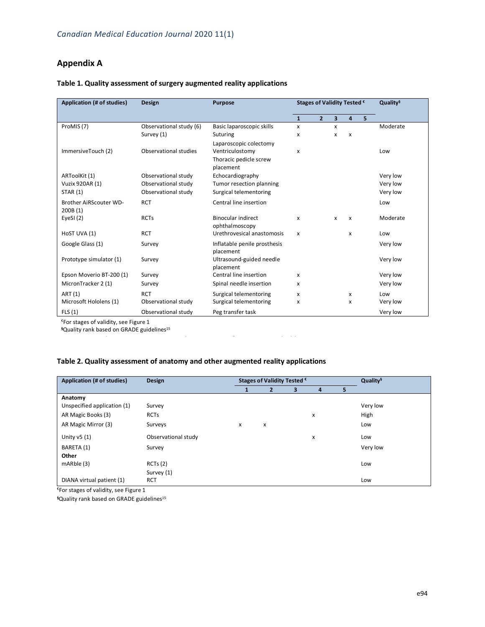## **Appendix A**

| Application (# of studies)        | <b>Design</b>           | <b>Purpose</b>                              | Stages of Validity Tested € |                | Quality <sup>§</sup>    |                |   |          |
|-----------------------------------|-------------------------|---------------------------------------------|-----------------------------|----------------|-------------------------|----------------|---|----------|
|                                   |                         |                                             | $\mathbf{1}$                | $\overline{2}$ | $\overline{\mathbf{3}}$ | $\overline{a}$ | 5 |          |
| ProMIS (7)                        | Observational study (6) | Basic laparoscopic skills                   | X                           |                | x                       |                |   | Moderate |
|                                   | Survey (1)              | Suturing                                    | x                           |                | x                       | $\mathsf{x}$   |   |          |
| ImmersiveTouch (2)                | Observational studies   | Laparoscopic colectomy<br>Ventriculostomy   | x                           |                |                         |                |   | Low      |
|                                   |                         | Thoracic pedicle screw<br>placement         |                             |                |                         |                |   |          |
| ARToolKit (1)                     | Observational study     | Echocardiography                            |                             |                |                         |                |   | Very low |
| Vuzix 920AR (1)                   | Observational study     | Tumor resection planning                    |                             |                |                         |                |   | Very low |
| <b>STAR (1)</b>                   | Observational study     | Surgical telementoring                      |                             |                |                         |                |   | Very low |
| Brother AiRScouter WD-<br>200B(1) | <b>RCT</b>              | Central line insertion                      |                             |                |                         |                |   | Low      |
| EyeSI $(2)$                       | <b>RCTs</b>             | <b>Binocular indirect</b><br>ophthalmoscopy | x                           |                | x                       | $\mathsf{x}$   |   | Moderate |
| HoST UVA (1)                      | <b>RCT</b>              | Urethrovesical anastomosis                  | x                           |                |                         | X              |   | Low      |
| Google Glass (1)                  | Survey                  | Inflatable penile prosthesis<br>placement   |                             |                |                         |                |   | Very low |
| Prototype simulator (1)           | Survey                  | Ultrasound-guided needle<br>placement       |                             |                |                         |                |   | Very low |
| Epson Moverio BT-200 (1)          | Survey                  | Central line insertion                      | x                           |                |                         |                |   | Very low |
| MicronTracker 2 (1)               | Survey                  | Spinal needle insertion                     | x                           |                |                         |                |   | Very low |
| ART (1)                           | <b>RCT</b>              | Surgical telementoring                      | x                           |                |                         | x              |   | Low      |
| Microsoft Hololens (1)            | Observational study     | Surgical telementoring                      | x                           |                |                         | x              |   | Very low |
| FLS(1)                            | Observational study     | Peg transfer task                           |                             |                |                         |                |   | Very low |

### **Table 1. Quality assessment of surgery augmented reality applications**

€For stages of validity, see Figure 1

**<sup>§</sup>Quality rank based on GRADE guidelines<sup>15</sup><br>
<b>SQuality rank based on GRADE guidelines<sup>15</sup>** 

### **Table 2. Quality assessment of anatomy and other augmented reality applications**

| Application (# of studies)  | <b>Design</b>       |   | Stages of Validity Tested € | Quality <sup>§</sup> |   |    |          |
|-----------------------------|---------------------|---|-----------------------------|----------------------|---|----|----------|
|                             |                     |   |                             | 3                    | 4 | 5. |          |
| Anatomy                     |                     |   |                             |                      |   |    |          |
| Unspecified application (1) | Survey              |   |                             |                      |   |    | Very low |
| AR Magic Books (3)          | <b>RCTs</b>         |   |                             |                      | x |    | High     |
| AR Magic Mirror (3)         | Surveys             | x | x                           |                      |   |    | Low      |
| Unity $v5(1)$               | Observational study |   |                             |                      | x |    | Low      |
| BARETA (1)                  | Survey              |   |                             |                      |   |    | Very low |
| Other                       |                     |   |                             |                      |   |    |          |
| mARble (3)                  | RCTs(2)             |   |                             |                      |   |    | Low      |
|                             | Survey (1)          |   |                             |                      |   |    |          |
| DIANA virtual patient (1)   | <b>RCT</b>          |   |                             |                      |   |    | Low      |

€For stages of validity, see Figure 1

**§**Quality rank based on GRADE guidelines15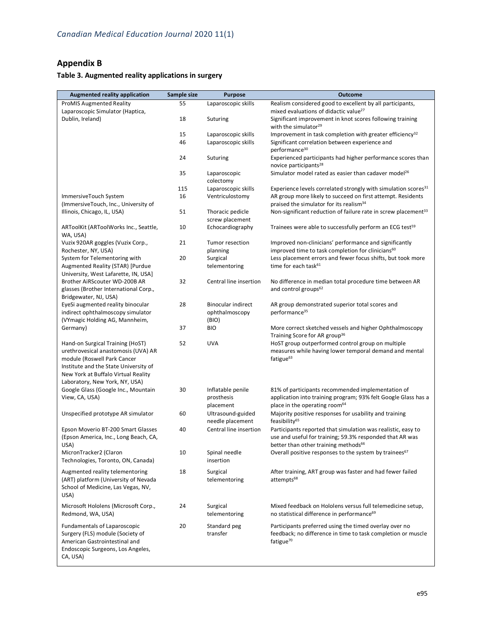## **Appendix B**

## **Table 3. Augmented reality applications in surgery**

| <b>Augmented reality application</b>                                     | Sample size | <b>Purpose</b>                               | <b>Outcome</b>                                                                                                                                                   |
|--------------------------------------------------------------------------|-------------|----------------------------------------------|------------------------------------------------------------------------------------------------------------------------------------------------------------------|
| <b>ProMIS Augmented Reality</b>                                          | 55          | Laparoscopic skills                          | Realism considered good to excellent by all participants,                                                                                                        |
| Laparoscopic Simulator (Haptica,                                         |             |                                              | mixed evaluations of didactic value <sup>27</sup>                                                                                                                |
| Dublin, Ireland)                                                         | 18          | Suturing                                     | Significant improvement in knot scores following training<br>with the simulator <sup>29</sup>                                                                    |
|                                                                          | 15          | Laparoscopic skills                          | Improvement in task completion with greater efficiency <sup>32</sup>                                                                                             |
|                                                                          | 46          | Laparoscopic skills                          | Significant correlation between experience and<br>performance <sup>30</sup>                                                                                      |
|                                                                          | 24          | Suturing                                     | Experienced participants had higher performance scores than<br>novice participants <sup>28</sup>                                                                 |
|                                                                          | 35          | Laparoscopic<br>colectomy                    | Simulator model rated as easier than cadaver model <sup>26</sup>                                                                                                 |
|                                                                          | 115         | Laparoscopic skills                          | Experience levels correlated strongly with simulation scores <sup>31</sup>                                                                                       |
| ImmersiveTouch System<br>(ImmersiveTouch, Inc., University of            | 16          | Ventriculostomy                              | AR group more likely to succeed on first attempt. Residents<br>praised the simulator for its realism <sup>34</sup>                                               |
| Illinois, Chicago, IL, USA)                                              | 51          | Thoracic pedicle<br>screw placement          | Non-significant reduction of failure rate in screw placement <sup>33</sup>                                                                                       |
| ARToolKit (ARToolWorks Inc., Seattle,<br>WA, USA)                        | 10          | Echocardiography                             | Trainees were able to successfully perform an ECG test <sup>59</sup>                                                                                             |
| Vuzix 920AR goggles (Vuzix Corp.,<br>Rochester, NY, USA)                 | 21          | Tumor resection<br>planning                  | Improved non-clinicians' performance and significantly<br>improved time to task completion for clinicians <sup>60</sup>                                          |
| System for Telementoring with                                            | 20          | Surgical                                     | Less placement errors and fewer focus shifts, but took more                                                                                                      |
| Augmented Reality (STAR) [Purdue<br>University, West Lafarette, IN, USA] |             | telementoring                                | time for each task <sup>61</sup>                                                                                                                                 |
| Brother AiRScouter WD-200B AR                                            | 32          | Central line insertion                       | No difference in median total procedure time between AR                                                                                                          |
| glasses (Brother International Corp.,<br>Bridgewater, NJ, USA)           |             |                                              | and control groups <sup>62</sup>                                                                                                                                 |
| EyeSi augmented reality binocular                                        | 28          | <b>Binocular indirect</b>                    | AR group demonstrated superior total scores and                                                                                                                  |
| indirect ophthalmoscopy simulator                                        |             | ophthalmoscopy                               | performance <sup>35</sup>                                                                                                                                        |
| (VYmagic Holding AG, Mannheim,<br>Germany)                               | 37          | (BIO)<br><b>BIO</b>                          | More correct sketched vessels and higher Ophthalmoscopy                                                                                                          |
|                                                                          |             |                                              | Training Score for AR group <sup>36</sup>                                                                                                                        |
| Hand-on Surgical Training (HoST)<br>urethrovesical anastomosis (UVA) AR  | 52          | <b>UVA</b>                                   | HoST group outperformed control group on multiple<br>measures while having lower temporal demand and mental                                                      |
| module (Roswell Park Cancer                                              |             |                                              | fatigue <sup>63</sup>                                                                                                                                            |
| Institute and the State University of                                    |             |                                              |                                                                                                                                                                  |
| New York at Buffalo Virtual Reality                                      |             |                                              |                                                                                                                                                                  |
| Laboratory, New York, NY, USA)                                           | 30          |                                              |                                                                                                                                                                  |
| Google Glass (Google Inc., Mountain<br>View, CA, USA)                    |             | Inflatable penile<br>prosthesis<br>placement | 81% of participants recommended implementation of<br>application into training program; 93% felt Google Glass has a<br>place in the operating room <sup>64</sup> |
| Unspecified prototype AR simulator                                       | 60          | Ultrasound-guided                            | Majority positive responses for usability and training                                                                                                           |
|                                                                          |             | needle placement                             | feasibility <sup>65</sup>                                                                                                                                        |
| Epson Moverio BT-200 Smart Glasses                                       | 40          | Central line insertion                       | Participants reported that simulation was realistic, easy to                                                                                                     |
| (Epson America, Inc., Long Beach, CA,<br>USA)                            |             |                                              | use and useful for training; 59.3% responded that AR was<br>better than other training methods <sup>66</sup>                                                     |
| MicronTracker2 (Claron<br>Technologies, Toronto, ON, Canada)             | 10          | Spinal needle<br>insertion                   | Overall positive responses to the system by trainees <sup>67</sup>                                                                                               |
| Augmented reality telementoring                                          | 18          | Surgical                                     | After training, ART group was faster and had fewer failed                                                                                                        |
| (ART) platform (University of Nevada                                     |             | telementoring                                | attempts <sup>68</sup>                                                                                                                                           |
| School of Medicine, Las Vegas, NV,<br>USA)                               |             |                                              |                                                                                                                                                                  |
| Microsoft Hololens (Microsoft Corp.,                                     | 24          | Surgical                                     | Mixed feedback on Hololens versus full telemedicine setup,                                                                                                       |
| Redmond, WA, USA)<br>Fundamentals of Laparoscopic                        | 20          | telementoring<br>Standard peg                | no statistical difference in performance <sup>69</sup><br>Participants preferred using the timed overlay over no                                                 |
| Surgery (FLS) module (Society of                                         |             | transfer                                     | feedback; no difference in time to task completion or muscle                                                                                                     |
| American Gastrointestinal and                                            |             |                                              | fatigue <sup>70</sup>                                                                                                                                            |
| Endoscopic Surgeons, Los Angeles,                                        |             |                                              |                                                                                                                                                                  |
| CA, USA)                                                                 |             |                                              |                                                                                                                                                                  |